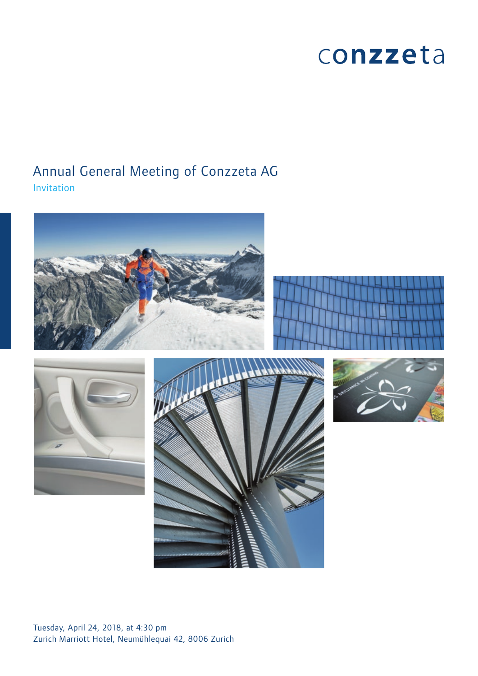# conzzeta

# Annual General Meeting of Conzzeta AG Invitation









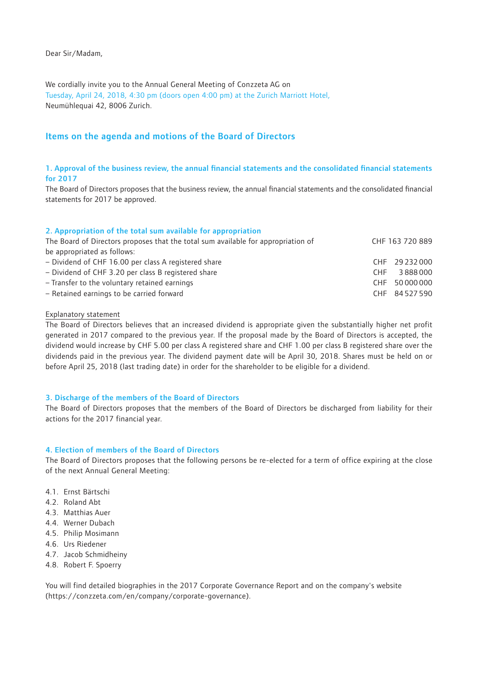# Dear Sir/Madam,

We cordially invite you to the Annual General Meeting of Conzzeta AG on Tuesday, April 24, 2018, 4:30 pm (doors open 4:00 pm) at the Zurich Marriott Hotel, Neumühlequai 42, 8006 Zurich.

# Items on the agenda and motions of the Board of Directors

# 1. Approval of the business review, the annual financial statements and the consolidated financial statements for 2017

The Board of Directors proposes that the business review, the annual financial statements and the consolidated financial statements for 2017 be approved.

# 2. Appropriation of the total sum available for appropriation

| The Board of Directors proposes that the total sum available for appropriation of |            | CHF 163 720 889 |
|-----------------------------------------------------------------------------------|------------|-----------------|
| be appropriated as follows:                                                       |            |                 |
| - Dividend of CHF 16.00 per class A registered share                              |            | CHF 29232000    |
| - Dividend of CHF 3.20 per class B registered share                               | <b>CHF</b> | 3888000         |
| - Transfer to the voluntary retained earnings                                     |            | CHF 50000000    |
| - Retained earnings to be carried forward                                         |            | CHF 84527590    |

# Explanatory statement

The Board of Directors believes that an increased dividend is appropriate given the substantially higher net profit generated in 2017 compared to the previous year. If the proposal made by the Board of Directors is accepted, the dividend would increase by CHF 5.00 per class A registered share and CHF 1.00 per class B registered share over the dividends paid in the previous year. The dividend payment date will be April 30, 2018. Shares must be held on or before April 25, 2018 (last trading date) in order for the shareholder to be eligible for a dividend.

# 3. Discharge of the members of the Board of Directors

The Board of Directors proposes that the members of the Board of Directors be discharged from liability for their actions for the 2017 financial year.

# 4. Election of members of the Board of Directors

The Board of Directors proposes that the following persons be re-elected for a term of office expiring at the close of the next Annual General Meeting:

- 4.1. Ernst Bärtschi
- 4.2. Roland Abt
- 4.3. Matthias Auer
- 4.4. Werner Dubach
- 4.5. Philip Mosimann
- 4.6. Urs Riedener
- 4.7. Jacob Schmidheiny
- 4.8. Robert F. Spoerry

You will find detailed biographies in the 2017 Corporate Governance Report and on the company's website (https://conzzeta.com/en/company/corporate-governance).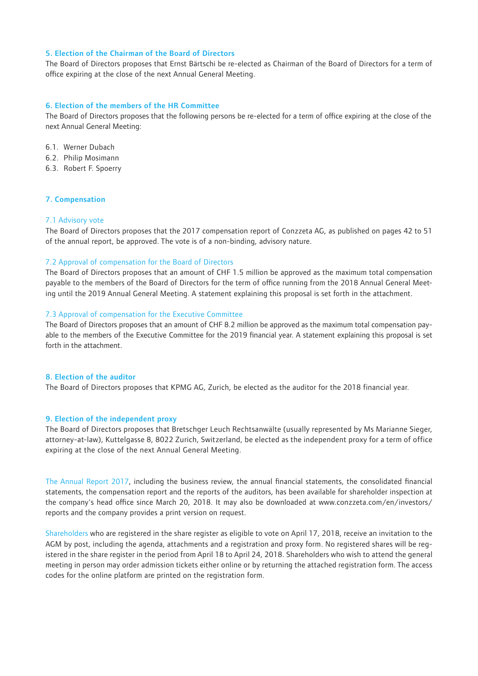#### 5. Election of the Chairman of the Board of Directors

The Board of Directors proposes that Ernst Bärtschi be re-elected as Chairman of the Board of Directors for a term of office expiring at the close of the next Annual General Meeting.

#### 6. Election of the members of the HR Committee

The Board of Directors proposes that the following persons be re-elected for a term of office expiring at the close of the next Annual General Meeting:

- 6.1. Werner Dubach
- 6.2. Philip Mosimann
- 6.3. Robert F. Spoerry

#### 7. Compensation

#### 7.1 Advisory vote

The Board of Directors proposes that the 2017 compensation report of Conzzeta AG, as published on pages 42 to 51 of the annual report, be approved. The vote is of a non-binding, advisory nature.

#### 7.2 Approval of compensation for the Board of Directors

The Board of Directors proposes that an amount of CHF 1.5 million be approved as the maximum total compensation payable to the members of the Board of Directors for the term of office running from the 2018 Annual General Meeting until the 2019 Annual General Meeting. A statement explaining this proposal is set forth in the attachment.

#### 7.3 Approval of compensation for the Executive Committee

The Board of Directors proposes that an amount of CHF 8.2 million be approved as the maximum total compensation payable to the members of the Executive Committee for the 2019 financial year. A statement explaining this proposal is set forth in the attachment.

#### 8. Election of the auditor

The Board of Directors proposes that KPMG AG, Zurich, be elected as the auditor for the 2018 financial year.

#### 9. Election of the independent proxy

The Board of Directors proposes that Bretschger Leuch Rechtsanwälte (usually represented by Ms Marianne Sieger, attorney-at-law), Kuttelgasse 8, 8022 Zurich, Switzerland, be elected as the independent proxy for a term of office expiring at the close of the next Annual General Meeting.

The Annual Report 2017, including the business review, the annual financial statements, the consolidated financial statements, the compensation report and the reports of the auditors, has been available for shareholder inspection at the company's head office since March 20, 2018. It may also be downloaded at www.conzzeta.com/en/investors/ reports and the company provides a print version on request.

Shareholders who are registered in the share register as eligible to vote on April 17, 2018, receive an invitation to the AGM by post, including the agenda, attachments and a registration and proxy form. No registered shares will be registered in the share register in the period from April 18 to April 24, 2018. Shareholders who wish to attend the general meeting in person may order admission tickets either online or by returning the attached registration form. The access codes for the online platform are printed on the registration form.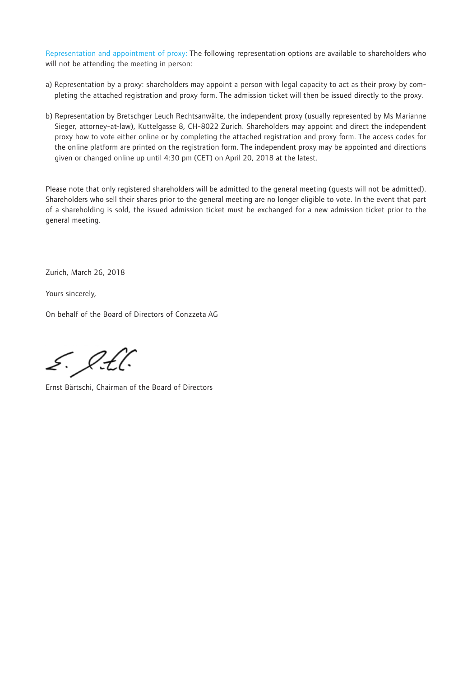Representation and appointment of proxy: The following representation options are available to shareholders who will not be attending the meeting in person:

- a) Representation by a proxy: shareholders may appoint a person with legal capacity to act as their proxy by completing the attached registration and proxy form. The admission ticket will then be issued directly to the proxy.
- b) Representation by Bretschger Leuch Rechtsanwälte, the independent proxy (usually represented by Ms Marianne Sieger, attorney-at-law), Kuttelgasse 8, CH-8022 Zurich. Shareholders may appoint and direct the independent proxy how to vote either online or by completing the attached registration and proxy form. The access codes for the online platform are printed on the registration form. The independent proxy may be appointed and directions given or changed online up until 4:30 pm (CET) on April 20, 2018 at the latest.

Please note that only registered shareholders will be admitted to the general meeting (guests will not be admitted). Shareholders who sell their shares prior to the general meeting are no longer eligible to vote. In the event that part of a shareholding is sold, the issued admission ticket must be exchanged for a new admission ticket prior to the general meeting.

Zurich, March 26, 2018

Yours sincerely,

On behalf of the Board of Directors of Conzzeta AG

5. O.H.

Ernst Bärtschi, Chairman of the Board of Directors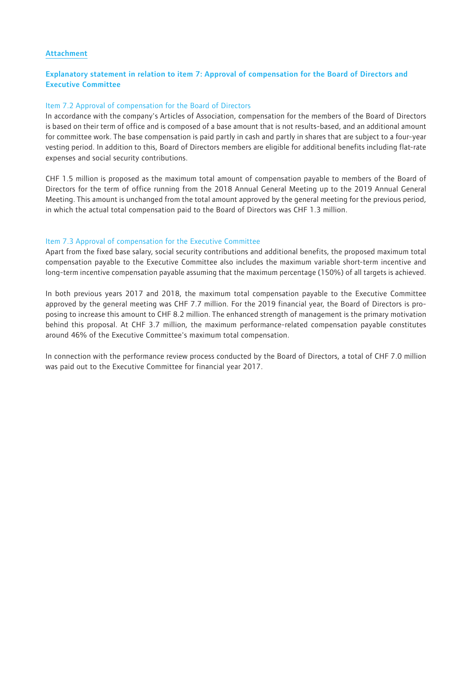# Attachment

# Explanatory statement in relation to item 7: Approval of compensation for the Board of Directors and Executive Committee

# Item 7.2 Approval of compensation for the Board of Directors

In accordance with the company's Articles of Association, compensation for the members of the Board of Directors is based on their term of office and is composed of a base amount that is not results-based, and an additional amount for committee work. The base compensation is paid partly in cash and partly in shares that are subject to a four-year vesting period. In addition to this, Board of Directors members are eligible for additional benefits including flat-rate expenses and social security contributions.

CHF 1.5 million is proposed as the maximum total amount of compensation payable to members of the Board of Directors for the term of office running from the 2018 Annual General Meeting up to the 2019 Annual General Meeting. This amount is unchanged from the total amount approved by the general meeting for the previous period, in which the actual total compensation paid to the Board of Directors was CHF 1.3 million.

# Item 7.3 Approval of compensation for the Executive Committee

Apart from the fixed base salary, social security contributions and additional benefits, the proposed maximum total compensation payable to the Executive Committee also includes the maximum variable short-term incentive and long-term incentive compensation payable assuming that the maximum percentage (150%) of all targets is achieved.

In both previous years 2017 and 2018, the maximum total compensation payable to the Executive Committee approved by the general meeting was CHF 7.7 million. For the 2019 financial year, the Board of Directors is proposing to increase this amount to CHF 8.2 million. The enhanced strength of management is the primary motivation behind this proposal. At CHF 3.7 million, the maximum performance-related compensation payable constitutes around 46% of the Executive Committee's maximum total compensation.

In connection with the performance review process conducted by the Board of Directors, a total of CHF 7.0 million was paid out to the Executive Committee for financial year 2017.